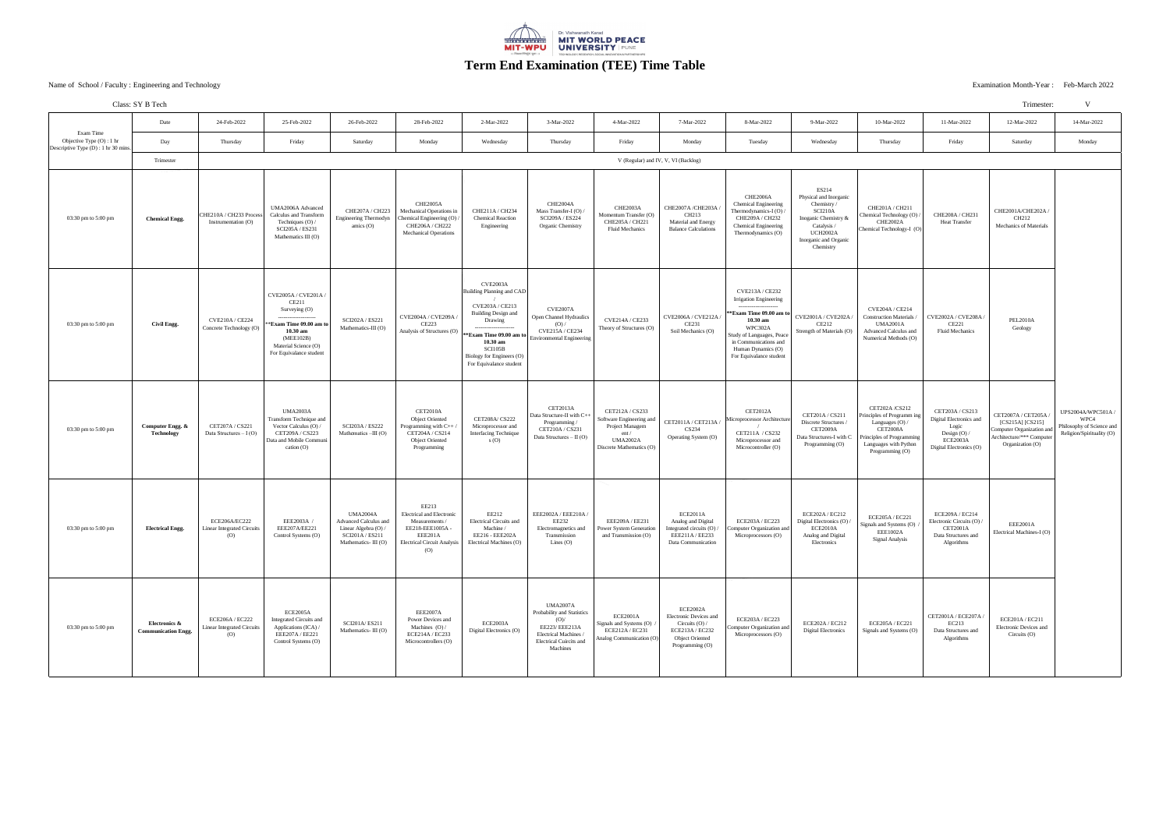|                                                                                  | Class: SY B Tech                                       |                                                                    |                                                                                                                                                                                             |                                                                                                                     |                                                                                                                                                    |                                                                                                                                                                                                                             |                                                                                                                                                                |                                                                                                                       |                                                                                                                               |                                                                                                                                                                                                                                               |                                                                                                                                                   |                                                                                                                                                              |                                                                                                            | Trimester:                                                                                                             | $\overline{M}$                                                                       |
|----------------------------------------------------------------------------------|--------------------------------------------------------|--------------------------------------------------------------------|---------------------------------------------------------------------------------------------------------------------------------------------------------------------------------------------|---------------------------------------------------------------------------------------------------------------------|----------------------------------------------------------------------------------------------------------------------------------------------------|-----------------------------------------------------------------------------------------------------------------------------------------------------------------------------------------------------------------------------|----------------------------------------------------------------------------------------------------------------------------------------------------------------|-----------------------------------------------------------------------------------------------------------------------|-------------------------------------------------------------------------------------------------------------------------------|-----------------------------------------------------------------------------------------------------------------------------------------------------------------------------------------------------------------------------------------------|---------------------------------------------------------------------------------------------------------------------------------------------------|--------------------------------------------------------------------------------------------------------------------------------------------------------------|------------------------------------------------------------------------------------------------------------|------------------------------------------------------------------------------------------------------------------------|--------------------------------------------------------------------------------------|
|                                                                                  | Date                                                   | 24-Feb-2022                                                        | 25-Feb-2022                                                                                                                                                                                 | 26-Feb-2022                                                                                                         | 28-Feb-2022                                                                                                                                        | 2-Mar-2022                                                                                                                                                                                                                  | 3-Mar-2022                                                                                                                                                     | 4-Mar-2022                                                                                                            | 7-Mar-2022                                                                                                                    | 8-Mar-2022                                                                                                                                                                                                                                    | 9-Mar-2022                                                                                                                                        | 10-Mar-2022                                                                                                                                                  | 11-Mar-2022                                                                                                | 12-Mar-2022                                                                                                            | 14-Mar-2022                                                                          |
| Exam Time<br>Objective Type $(O)$ : 1 hr<br>Descriptive Type (D) : 1 hr 30 mins. | Day                                                    | Thursday                                                           | Friday                                                                                                                                                                                      | Saturday                                                                                                            | Monday                                                                                                                                             | Wednesday                                                                                                                                                                                                                   | Thursday                                                                                                                                                       | Friday                                                                                                                | Monday                                                                                                                        | Tuesday                                                                                                                                                                                                                                       | Wednesday                                                                                                                                         | Thursday                                                                                                                                                     | Friday                                                                                                     | Saturday                                                                                                               | Monday                                                                               |
|                                                                                  | Trimester                                              | V (Regular) and IV, V, VI (Backlog)                                |                                                                                                                                                                                             |                                                                                                                     |                                                                                                                                                    |                                                                                                                                                                                                                             |                                                                                                                                                                |                                                                                                                       |                                                                                                                               |                                                                                                                                                                                                                                               |                                                                                                                                                   |                                                                                                                                                              |                                                                                                            |                                                                                                                        |                                                                                      |
| 03:30 pm to 5:00 pm                                                              | <b>Chemical Engg.</b>                                  | CHE210A / CH233 Process<br>Instrumentation (O)                     | <b>UMA2006A Advanced</b><br>Calculus and Transform<br>Techniques (O) /<br><b>SCI205A / ES231</b><br>Mathematics III (O)                                                                     | CHE207A / CH223<br><b>Engineering Thermodyn</b><br>amics $(O)$                                                      | CHE2005A<br>Mechanical Operations in<br>Chemical Engineering $(O)$ /<br>CHE206A / CH222<br><b>Mechanical Operations</b>                            | CHE211A / CH234<br><b>Chemical Reaction</b><br>Engineering                                                                                                                                                                  | CHE2004A<br>Mass Transfer-I (O) /<br><b>SCI209A / ES224</b><br><b>Organic Chemistry</b>                                                                        | CHE2003A<br>Momentum Transfer (O)<br><b>CHE205A / CH221</b><br><b>Fluid Mechanics</b>                                 | CHE2007A/CHE203A<br>CH213<br><b>Material and Energy</b><br><b>Balance Calculations</b>                                        | CHE2006A<br><b>Chemical Engineering</b><br>Thermodynamics-I (O) /<br>CHE209A / CH232<br><b>Chemical Engineering</b><br>Thermodynamics (O)                                                                                                     | ES214<br>Physical and Inorganic<br>Chemistry/<br>SCI210A<br>Inoganic Chemistry &<br>Catalysis /<br>UCH2002A<br>Inorganic and Organic<br>Chemistry | CHE201A / CH211<br>Chemical Technology (O)<br>CHE2002A<br>Chemical Technology-I (O)                                                                          | <b>CHE208A / CH231</b><br><b>Heat Transfer</b>                                                             | CHE2001A/CHE202A /<br>CH212<br><b>Mechanics of Materials</b>                                                           |                                                                                      |
| 03:30 pm to 5:00 pm                                                              | <b>Civil Engg.</b>                                     | <b>CVE210A / CE224</b><br>Concrete Technology (O)                  | <b>CVE2005A / CVE201A</b><br><b>CE211</b><br>Surveying (O)<br>--------------------<br>**Exam Time 09.00 am to<br>$10.30$ am<br>(MEE102B)<br>Material Science (O)<br>For Equivalance student | <b>SCI202A / ES221</b><br>Mathematics-III (O)                                                                       | CVE2004A / CVE209A /<br><b>CE223</b><br>Analysis of Structures (O) $\vert$                                                                         | <b>CVE2003A</b><br>Building Planning and CAD<br><b>CVE203A / CE213</b><br><b>Building Design and</b><br>Drawing<br>**Exam Time 09.00 am to<br>$10.30$ am<br>SCI105B<br>Biology for Engineers (O)<br>For Equivalance student | CVE2007A<br>Open Channel Hydraulics<br>(O) /<br><b>CVE215A / CE234</b><br><b>Environmental Engineering</b>                                                     | <b>CVE214A / CE233</b><br>Theory of Structures (O)                                                                    | CVE2006A / CVE212A /<br><b>CE231</b><br>Soil Mechanics (O)                                                                    | <b>CVE213A / CE232</b><br><b>Irrigation Engineering</b><br>---------------------<br>**Exam Time $09.00$ am to<br>$10.30$ am<br>WPC302A<br>Study of Languages, Peace<br>in Communications and<br>Human Dynamics (O)<br>For Equivalance student | $\text{CVE2001A} / \text{CVE202A}$<br>CE212<br><b>Strength of Materials (O)</b>                                                                   | <b>CVE204A / CE214</b><br><b>Construction Materials /</b><br><b>UMA2001A</b><br>Advanced Calculus and<br>Numerical Methods (O)                               | $\vert$ CVE2002A / CVE208A /<br><b>CE221</b><br><b>Fluid Mechanics</b>                                     | <b>PEL2010A</b><br>Geology                                                                                             |                                                                                      |
| 03:30 pm to 5:00 pm                                                              | <b>Computer Engg. &amp;</b><br><b>Technology</b>       | CET207A / CS221<br>Data Structures $-I(O)$                         | <b>UMA2003A</b><br>Transform Technique and<br>Vector Calculus (O) /<br><b>CET209A / CS223</b><br>Data and Mobile Communi<br>cation $(O)$                                                    | <b>SCI203A / ES222</b><br>Mathematics $-HI(O)$                                                                      | CET2010A<br><b>Object Oriented</b><br>Programming with $C++$<br>CET204A / CS214<br><b>Object Oriented</b><br>Programming                           | <b>CET208A/ CS222</b><br>Microprocessor and<br><b>Interfacing Technique</b><br>S(0)                                                                                                                                         | CET2013A<br>Data Structure-II with C+<br>Programming /<br>CET210A / CS231<br>Data Structures – $II(O)$                                                         | CET212A / CS233<br>Software Engineering and<br>Project Managem<br>ent/<br><b>UMA2002A</b><br>Discrete Mathematics (O) | CET2011A / CET213A /<br>CS234<br><b>Operating System (O)</b>                                                                  | CET2012A<br>Microprocessor Architecture<br>CET211A / CS232<br>Microprocessor and<br>Microcontroller (O)                                                                                                                                       | CET201A / CS211<br>Discrete Structures<br><b>CET2009A</b><br>Data Structures-I with C<br>Programming (O)                                          | <b>CET202A/CS212</b><br>Principles of Programm ing<br>Languages $(O)$ /<br>CET2008A<br>Principles of Programming<br>Languages with Python<br>Programming (O) | CET203A / CS213<br>Digital Electronics and<br>Logic<br>Design (O) /<br>ECE2003A<br>Digital Electronics (O) | CET2007A / CET205A<br>$[CS215A] [CS215]$<br>Computer Organization and<br>Architecture/*** Computer<br>Organization (O) | UPS2004A/WPC501A /<br>WPC4<br>Philosophy of Science and<br>Religion/Spirituality (O) |
| 03:30 pm to 5:00 pm                                                              | <b>Electrical Engg.</b>                                | ECE206A/EC222<br><b>Linear Integrated Circuits</b><br>(O)          | EEE2003A /<br>EEE207A/EE221<br>Control Systems (O)                                                                                                                                          | <b>UMA2004A</b><br><b>Advanced Calculus and</b><br>Linear Algebra (O) /<br>SCI201A / ES211<br>Mathematics-III $(O)$ | EE213<br><b>Electrical and Electronic</b><br>Measurements<br>EE218-EEE1005A-<br>EEE201A<br><b>Electrical Circuit Analysis</b><br>$\left( 0\right)$ | EE212<br><b>Electrical Circuits and</b><br>Machine /<br>EE216 - EEE202A<br>Electrical Machines (O)                                                                                                                          | EEE2002A / EEE210A /<br><b>EE232</b><br>Electromagnetics and<br>Transmission<br>Lines $(O)$                                                                    | EEE209A / EE231<br><b>Power System Generation</b><br>and Transmission (O)                                             | ECE2011A<br>Analog and Digital<br>Integrated circuits (O) /<br>EEE211A / EE233<br>Data Communication                          | <b>ECE203A / EC223</b><br>Computer Organization and<br>Microprocessors (O)                                                                                                                                                                    | <b>ECE202A / EC212</b><br>Digital Electronics (O) /<br>ECE2010A<br>Analog and Digital<br>Electronics                                              | <b>ECE205A / EC221</b><br>Signals and Systems (O) $/$<br><b>EEE1002A</b><br><b>Signal Analysis</b>                                                           | ECE209A / EC214<br>Electronic Circuits (O) /<br><b>CET2001A</b><br>Data Structures and<br>Algorithms       | <b>EEE2001A</b><br>Electrical Machines-I (O)                                                                           |                                                                                      |
| 03:30 pm to 5:00 pm                                                              | <b>Electronics &amp;</b><br><b>Communication Engg.</b> | <b>ECE206A / EC222</b><br><b>Linear Integrated Circuits</b><br>(O) | ECE2005A<br><b>Integrated Circuits and</b><br>Applications (ICA) /<br><b>EEE207A / EE221</b><br>Control Systems (O)                                                                         | <b>SCI201A/ES211</b><br>Mathematics-III (O)                                                                         | EEE2007A<br>Power Devices and<br>Machines $(O) /$<br><b>ECE214A / EC233</b><br>Microcontrollers (O)                                                | ECE2003A<br>Digital Electronics (O)                                                                                                                                                                                         | <b>UMA2007A</b><br><b>Probability and Statistics</b><br>$(O)$ /<br>EE223/EEE213A<br><b>Electrical Machines /</b><br><b>Electrical Cuircits and</b><br>Machines | ECE2001A<br>Signals and Systems (O)<br>ECE212A / EC231<br>Analog Communication (O)                                    | ECE2002A<br><b>Electronic Devices and</b><br>Circuits $(O) /$<br>ECE213A / EC232<br><b>Object Oriented</b><br>Programming (O) | <b>ECE203A / EC223</b><br>Computer Organization and<br>Microprocessors (O)                                                                                                                                                                    | <b>ECE202A / EC212</b><br><b>Digital Electronics</b>                                                                                              | <b>ECE205A / EC221</b><br>Signals and Systems (O)                                                                                                            | CET2001A / ECE207A /<br>EC213<br>Data Structures and<br>Algorithms                                         | <b>ECE201A / EC211</b><br>Electronic Devices and<br>Circuits $(O)$                                                     |                                                                                      |



Examination Month-Year: Feb-March 2022<br>
Fraculty: Engineering and Technology Fraculty: Feb-March 2022

## **Term End Examination (TEE) Time Table**

## Examination Month-Year : Feb-March 2022